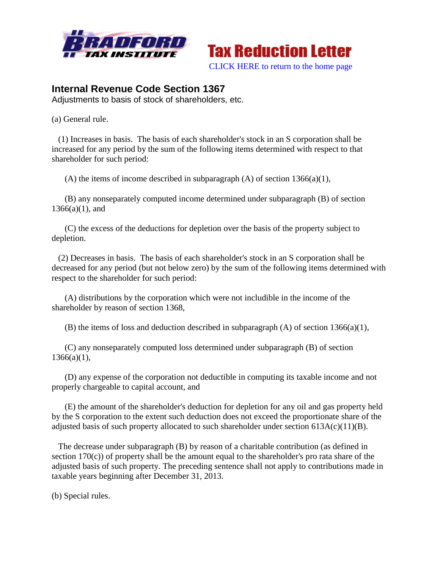



## **Internal Revenue Code Section 1367**

Adjustments to basis of stock of shareholders, etc.

(a) General rule.

 (1) Increases in basis. The basis of each shareholder's stock in an S corporation shall be increased for any period by the sum of the following items determined with respect to that shareholder for such period:

(A) the items of income described in subparagraph  $(A)$  of section 1366(a)(1),

 (B) any nonseparately computed income determined under subparagraph (B) of section  $1366(a)(1)$ , and

 (C) the excess of the deductions for depletion over the basis of the property subject to depletion.

 (2) Decreases in basis. The basis of each shareholder's stock in an S corporation shall be decreased for any period (but not below zero) by the sum of the following items determined with respect to the shareholder for such period:

 (A) distributions by the corporation which were not includible in the income of the shareholder by reason of section 1368,

(B) the items of loss and deduction described in subparagraph (A) of section 1366(a)(1),

 (C) any nonseparately computed loss determined under subparagraph (B) of section  $1366(a)(1)$ ,

 (D) any expense of the corporation not deductible in computing its taxable income and not properly chargeable to capital account, and

 (E) the amount of the shareholder's deduction for depletion for any oil and gas property held by the S corporation to the extent such deduction does not exceed the proportionate share of the adjusted basis of such property allocated to such shareholder under section  $613A(c)(11)(B)$ .

 The decrease under subparagraph (B) by reason of a charitable contribution (as defined in section 170(c)) of property shall be the amount equal to the shareholder's pro rata share of the adjusted basis of such property. The preceding sentence shall not apply to contributions made in taxable years beginning after December 31, 2013.

(b) Special rules.